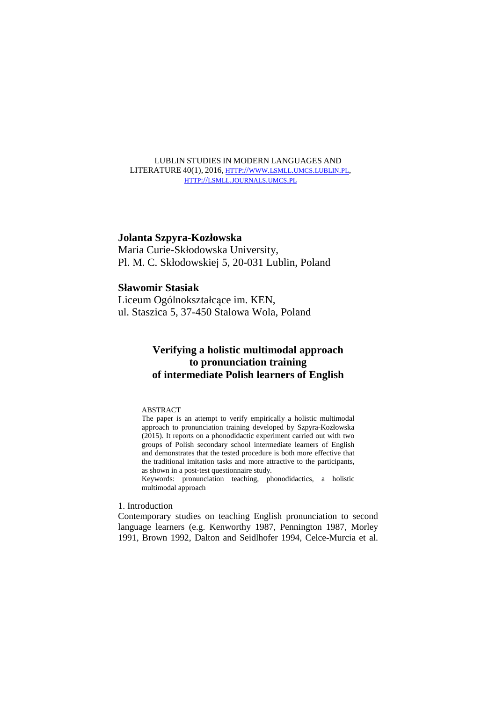LUBLIN STUDIES IN MODERN LANGUAGES AND LITERATURE 40(1), 2016, HTTP://WWW.LSMLL.UMCS.LUBLIN.PL, HTTP://LSMLL.JOURNALS.UMCS.PL

# **Jolanta Szpyra-Kozłowska**

Maria Curie-Skłodowska University, Pl. M. C. Skłodowskiej 5, 20-031 Lublin, Poland

# **Sławomir Stasiak**

Liceum Ogólnokształcące im. KEN, ul. Staszica 5, 37-450 Stalowa Wola, Poland

# **Verifying a holistic multimodal approach to pronunciation training of intermediate Polish learners of English**

## ABSTRACT

The paper is an attempt to verify empirically a holistic multimodal approach to pronunciation training developed by Szpyra-Kozłowska (2015). It reports on a phonodidactic experiment carried out with two groups of Polish secondary school intermediate learners of English and demonstrates that the tested procedure is both more effective that the traditional imitation tasks and more attractive to the participants, as shown in a post-test questionnaire study.

Keywords: pronunciation teaching, phonodidactics, a holistic multimodal approach

# 1. Introduction

Contemporary studies on teaching English pronunciation to second language learners (e.g. Kenworthy 1987, Pennington 1987, Morley 1991, Brown 1992, Dalton and Seidlhofer 1994, Celce-Murcia et al.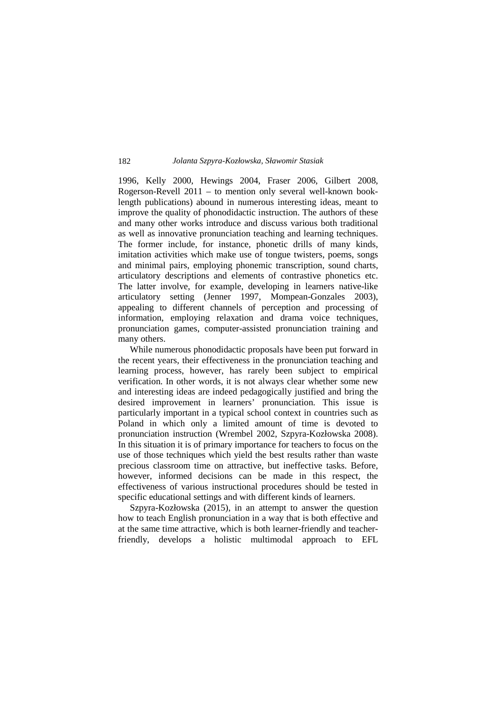1996, Kelly 2000, Hewings 2004, Fraser 2006, Gilbert 2008, Rogerson-Revell 2011 – to mention only several well-known booklength publications) abound in numerous interesting ideas, meant to improve the quality of phonodidactic instruction. The authors of these and many other works introduce and discuss various both traditional as well as innovative pronunciation teaching and learning techniques. The former include, for instance, phonetic drills of many kinds, imitation activities which make use of tongue twisters, poems, songs and minimal pairs, employing phonemic transcription, sound charts, articulatory descriptions and elements of contrastive phonetics etc. The latter involve, for example, developing in learners native-like articulatory setting (Jenner 1997, Mompean-Gonzales 2003), appealing to different channels of perception and processing of information, employing relaxation and drama voice techniques, pronunciation games, computer-assisted pronunciation training and many others.

 While numerous phonodidactic proposals have been put forward in the recent years, their effectiveness in the pronunciation teaching and learning process, however, has rarely been subject to empirical verification. In other words, it is not always clear whether some new and interesting ideas are indeed pedagogically justified and bring the desired improvement in learners' pronunciation. This issue is particularly important in a typical school context in countries such as Poland in which only a limited amount of time is devoted to pronunciation instruction (Wrembel 2002, Szpyra-Kozłowska 2008). In this situation it is of primary importance for teachers to focus on the use of those techniques which yield the best results rather than waste precious classroom time on attractive, but ineffective tasks. Before, however, informed decisions can be made in this respect, the effectiveness of various instructional procedures should be tested in specific educational settings and with different kinds of learners.

 Szpyra-Kozłowska (2015), in an attempt to answer the question how to teach English pronunciation in a way that is both effective and at the same time attractive, which is both learner-friendly and teacherfriendly, develops a holistic multimodal approach to EFL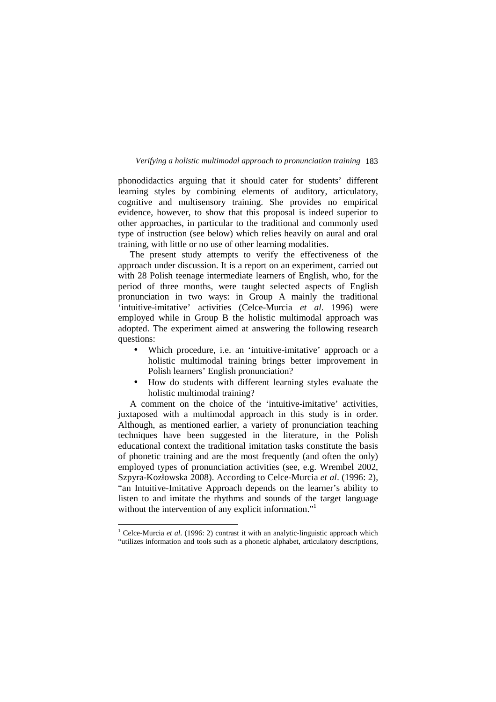phonodidactics arguing that it should cater for students' different learning styles by combining elements of auditory, articulatory, cognitive and multisensory training. She provides no empirical evidence, however, to show that this proposal is indeed superior to other approaches, in particular to the traditional and commonly used type of instruction (see below) which relies heavily on aural and oral training, with little or no use of other learning modalities.

 The present study attempts to verify the effectiveness of the approach under discussion. It is a report on an experiment, carried out with 28 Polish teenage intermediate learners of English, who, for the period of three months, were taught selected aspects of English pronunciation in two ways: in Group A mainly the traditional 'intuitive-imitative' activities (Celce-Murcia *et al*. 1996) were employed while in Group B the holistic multimodal approach was adopted. The experiment aimed at answering the following research questions:

- Which procedure, i.e. an 'intuitive-imitative' approach or a holistic multimodal training brings better improvement in Polish learners' English pronunciation?
- How do students with different learning styles evaluate the holistic multimodal training?

 A comment on the choice of the 'intuitive-imitative' activities, juxtaposed with a multimodal approach in this study is in order. Although, as mentioned earlier, a variety of pronunciation teaching techniques have been suggested in the literature, in the Polish educational context the traditional imitation tasks constitute the basis of phonetic training and are the most frequently (and often the only) employed types of pronunciation activities (see, e.g. Wrembel 2002, Szpyra-Kozłowska 2008). According to Celce-Murcia *et al*. (1996: 2), "an Intuitive-Imitative Approach depends on the learner's ability to listen to and imitate the rhythms and sounds of the target language without the intervention of any explicit information."<sup>1</sup>

 $\overline{a}$ 

<sup>&</sup>lt;sup>1</sup> Celce-Murcia et al. (1996: 2) contrast it with an analytic-linguistic approach which "utilizes information and tools such as a phonetic alphabet, articulatory descriptions,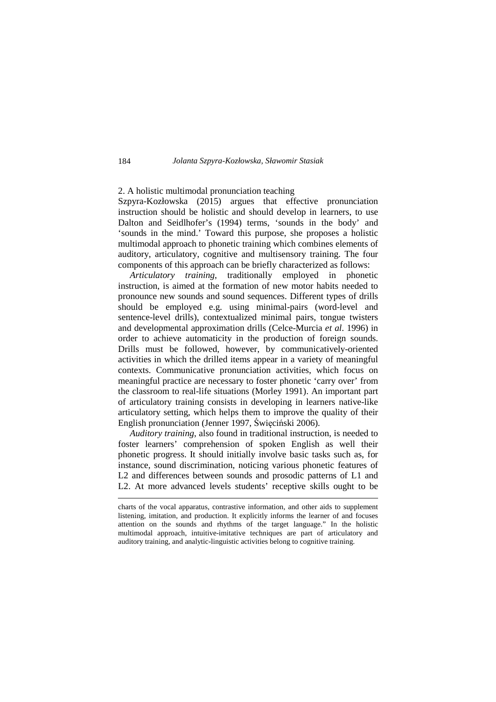## 2. A holistic multimodal pronunciation teaching

Szpyra-Kozłowska (2015) argues that effective pronunciation instruction should be holistic and should develop in learners, to use Dalton and Seidlhofer's (1994) terms, 'sounds in the body' and 'sounds in the mind.' Toward this purpose, she proposes a holistic multimodal approach to phonetic training which combines elements of auditory, articulatory, cognitive and multisensory training. The four components of this approach can be briefly characterized as follows:

 *Articulatory training*, traditionally employed in phonetic instruction, is aimed at the formation of new motor habits needed to pronounce new sounds and sound sequences. Different types of drills should be employed e.g. using minimal-pairs (word-level and sentence-level drills), contextualized minimal pairs, tongue twisters and developmental approximation drills (Celce-Murcia *et al*. 1996) in order to achieve automaticity in the production of foreign sounds. Drills must be followed, however, by communicatively-oriented activities in which the drilled items appear in a variety of meaningful contexts. Communicative pronunciation activities, which focus on meaningful practice are necessary to foster phonetic 'carry over' from the classroom to real-life situations (Morley 1991). An important part of articulatory training consists in developing in learners native-like articulatory setting, which helps them to improve the quality of their English pronunciation (Jenner 1997, Święciński 2006).

 *Auditory training*, also found in traditional instruction, is needed to foster learners' comprehension of spoken English as well their phonetic progress. It should initially involve basic tasks such as, for instance, sound discrimination, noticing various phonetic features of L2 and differences between sounds and prosodic patterns of L1 and L2. At more advanced levels students' receptive skills ought to be

1

charts of the vocal apparatus, contrastive information, and other aids to supplement listening, imitation, and production. It explicitly informs the learner of and focuses attention on the sounds and rhythms of the target language." In the holistic multimodal approach, intuitive-imitative techniques are part of articulatory and auditory training, and analytic-linguistic activities belong to cognitive training.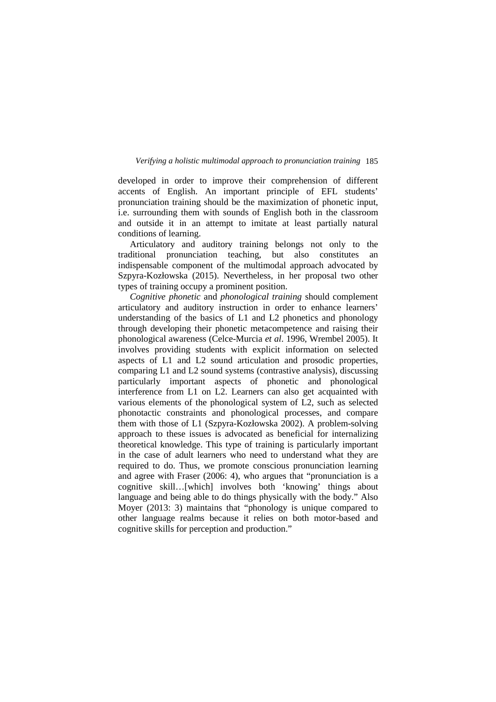developed in order to improve their comprehension of different accents of English. An important principle of EFL students' pronunciation training should be the maximization of phonetic input, i.e. surrounding them with sounds of English both in the classroom and outside it in an attempt to imitate at least partially natural conditions of learning.

 Articulatory and auditory training belongs not only to the traditional pronunciation teaching, but also constitutes an indispensable component of the multimodal approach advocated by Szpyra-Kozłowska (2015). Nevertheless, in her proposal two other types of training occupy a prominent position.

 *Cognitive phonetic* and *phonological training* should complement articulatory and auditory instruction in order to enhance learners' understanding of the basics of L1 and L2 phonetics and phonology through developing their phonetic metacompetence and raising their phonological awareness (Celce-Murcia *et al*. 1996, Wrembel 2005). It involves providing students with explicit information on selected aspects of L1 and L2 sound articulation and prosodic properties, comparing L1 and L2 sound systems (contrastive analysis), discussing particularly important aspects of phonetic and phonological interference from L1 on L2. Learners can also get acquainted with various elements of the phonological system of L2, such as selected phonotactic constraints and phonological processes, and compare them with those of L1 (Szpyra-Kozłowska 2002). A problem-solving approach to these issues is advocated as beneficial for internalizing theoretical knowledge. This type of training is particularly important in the case of adult learners who need to understand what they are required to do. Thus, we promote conscious pronunciation learning and agree with Fraser (2006: 4), who argues that "pronunciation is a cognitive skill…[which] involves both 'knowing' things about language and being able to do things physically with the body." Also Moyer (2013: 3) maintains that "phonology is unique compared to other language realms because it relies on both motor-based and cognitive skills for perception and production."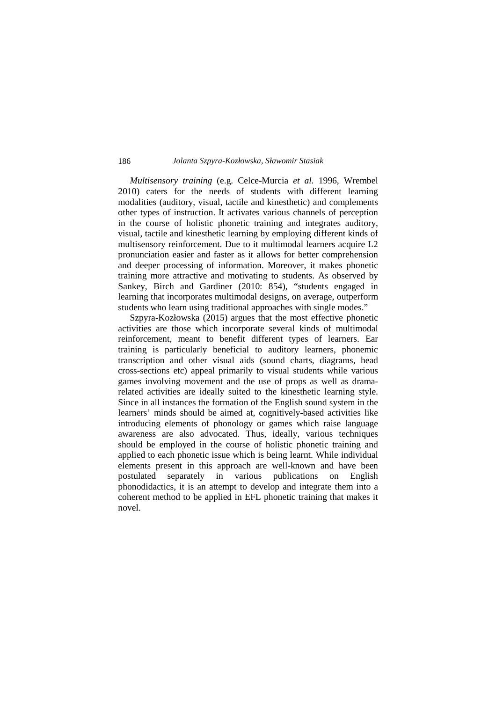*Multisensory training* (e.g. Celce-Murcia *et al.* 1996, Wrembel 2010) caters for the needs of students with different learning modalities (auditory, visual, tactile and kinesthetic) and complements other types of instruction. It activates various channels of perception in the course of holistic phonetic training and integrates auditory, visual, tactile and kinesthetic learning by employing different kinds of multisensory reinforcement. Due to it multimodal learners acquire L2 pronunciation easier and faster as it allows for better comprehension and deeper processing of information. Moreover, it makes phonetic training more attractive and motivating to students. As observed by Sankey, Birch and Gardiner (2010: 854), "students engaged in learning that incorporates multimodal designs, on average, outperform students who learn using traditional approaches with single modes."

 Szpyra-Kozłowska (2015) argues that the most effective phonetic activities are those which incorporate several kinds of multimodal reinforcement, meant to benefit different types of learners. Ear training is particularly beneficial to auditory learners, phonemic transcription and other visual aids (sound charts, diagrams, head cross-sections etc) appeal primarily to visual students while various games involving movement and the use of props as well as dramarelated activities are ideally suited to the kinesthetic learning style. Since in all instances the formation of the English sound system in the learners' minds should be aimed at, cognitively-based activities like introducing elements of phonology or games which raise language awareness are also advocated. Thus, ideally, various techniques should be employed in the course of holistic phonetic training and applied to each phonetic issue which is being learnt. While individual elements present in this approach are well-known and have been postulated separately in various publications on English phonodidactics, it is an attempt to develop and integrate them into a coherent method to be applied in EFL phonetic training that makes it novel.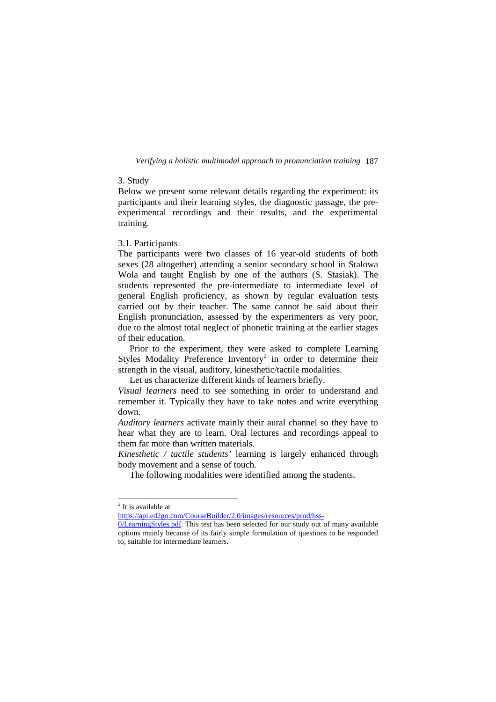# 3. Study

Below we present some relevant details regarding the experiment: its participants and their learning styles, the diagnostic passage, the preexperimental recordings and their results, and the experimental training.

# 3.1. Participants

The participants were two classes of 16 year-old students of both sexes (28 altogether) attending a senior secondary school in Stalowa Wola and taught English by one of the authors (S. Stasiak). The students represented the pre-intermediate to intermediate level of general English proficiency, as shown by regular evaluation tests carried out by their teacher. The same cannot be said about their English pronunciation, assessed by the experimenters as very poor, due to the almost total neglect of phonetic training at the earlier stages of their education.

 Prior to the experiment, they were asked to complete Learning Styles Modality Preference Inventory<sup>2</sup> in order to determine their strength in the visual, auditory, kinesthetic/tactile modalities.

Let us characterize different kinds of learners briefly.

*Visual learners* need to see something in order to understand and remember it. Typically they have to take notes and write everything down.

*Auditory learners* activate mainly their aural channel so they have to hear what they are to learn. Oral lectures and recordings appeal to them far more than written materials.

*Kinesthetic / tactile students'* learning is largely enhanced through body movement and a sense of touch.

The following modalities were identified among the students.

1

<sup>&</sup>lt;sup>2</sup> It is available at

https://api.ed2go.com/CourseBuilder/2.0/images/resources/prod/hss-

<sup>0/</sup>LearningStyles.pdf. This test has been selected for our study out of many available options mainly because of its fairly simple formulation of questions to be responded to, suitable for intermediate learners.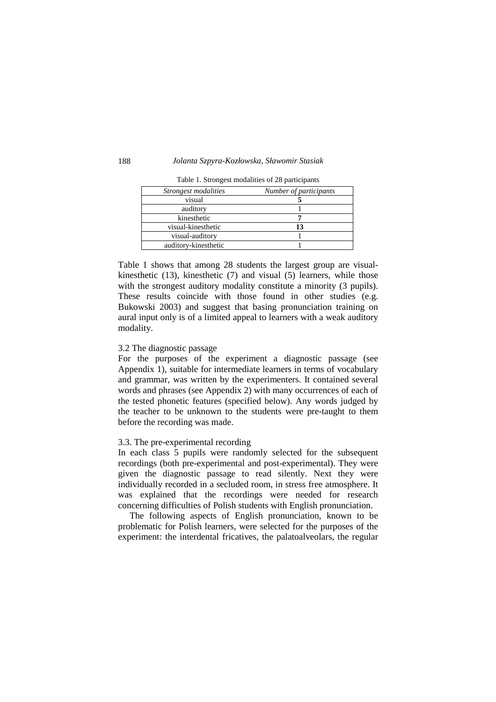| Strongest modalities | Number of participants |
|----------------------|------------------------|
| visual               |                        |
| auditory             |                        |
| kinesthetic          |                        |
| visual-kinesthetic   | 13                     |
| visual-auditory      |                        |
| auditory-kinesthetic |                        |

Table 1. Strongest modalities of 28 participants

Table 1 shows that among 28 students the largest group are visualkinesthetic (13), kinesthetic (7) and visual (5) learners, while those with the strongest auditory modality constitute a minority (3 pupils). These results coincide with those found in other studies (e.g. Bukowski 2003) and suggest that basing pronunciation training on aural input only is of a limited appeal to learners with a weak auditory modality.

#### 3.2 The diagnostic passage

For the purposes of the experiment a diagnostic passage (see Appendix 1), suitable for intermediate learners in terms of vocabulary and grammar, was written by the experimenters. It contained several words and phrases (see Appendix 2) with many occurrences of each of the tested phonetic features (specified below). Any words judged by the teacher to be unknown to the students were pre-taught to them before the recording was made.

### 3.3. The pre-experimental recording

In each class 5 pupils were randomly selected for the subsequent recordings (both pre-experimental and post-experimental). They were given the diagnostic passage to read silently. Next they were individually recorded in a secluded room, in stress free atmosphere. It was explained that the recordings were needed for research concerning difficulties of Polish students with English pronunciation.

 The following aspects of English pronunciation, known to be problematic for Polish learners, were selected for the purposes of the experiment: the interdental fricatives, the palatoalveolars, the regular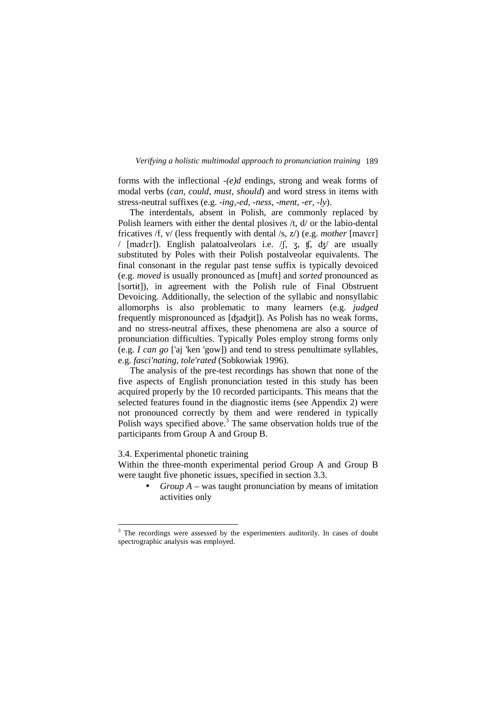forms with the inflectional *-(e)d* endings, strong and weak forms of modal verbs (*can, could, must, should*) and word stress in items with stress-neutral suffixes (e.g. -*ing,-ed, -ness, -ment, -er, -ly*).

 The interdentals, absent in Polish, are commonly replaced by Polish learners with either the dental plosives /t, d/ or the labio-dental fricatives /f, v/ (less frequently with dental /s, z/) (e.g. *mother* [mavɛr] / [mader]). English palatoalveolars i.e.  $\int$ ,  $\int$ ,  $\int$ ,  $\frac{1}{3}$ ,  $\int$  are usually substituted by Poles with their Polish postalveolar equivalents. The final consonant in the regular past tense suffix is typically devoiced (e.g. *moved* is usually pronounced as [muft] and *sorted* pronounced as [sortɨt]), in agreement with the Polish rule of Final Obstruent Devoicing. Additionally, the selection of the syllabic and nonsyllabic allomorphs is also problematic to many learners (e.g. *judged*  frequently mispronounced as [ʤaʤɨt]). As Polish has no weak forms, and no stress-neutral affixes, these phenomena are also a source of pronunciation difficulties. Typically Poles employ strong forms only (e.g. *I can go* ['aj 'ken 'gow]) and tend to stress penultimate syllables, e.g. *fasci'nating, tole'rated* (Sobkowiak 1996).

 The analysis of the pre-test recordings has shown that none of the five aspects of English pronunciation tested in this study has been acquired properly by the 10 recorded participants. This means that the selected features found in the diagnostic items (see Appendix 2) were not pronounced correctly by them and were rendered in typically Polish ways specified above.<sup>3</sup> The same observation holds true of the participants from Group A and Group B.

# 3.4. Experimental phonetic training

<u>.</u>

Within the three-month experimental period Group A and Group B were taught five phonetic issues, specified in section 3.3.

> • *Group A* – was taught pronunciation by means of imitation activities only

<sup>&</sup>lt;sup>3</sup> The recordings were assessed by the experimenters auditorily. In cases of doubt spectrographic analysis was employed.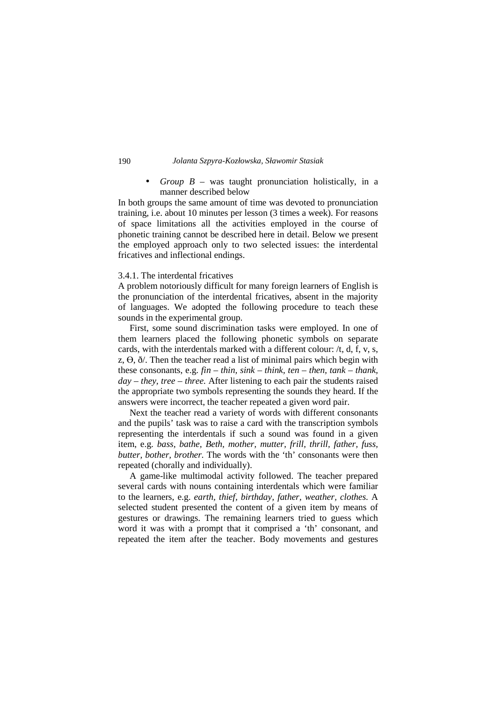• *Group B* – was taught pronunciation holistically, in a manner described below

In both groups the same amount of time was devoted to pronunciation training, i.e. about 10 minutes per lesson (3 times a week). For reasons of space limitations all the activities employed in the course of phonetic training cannot be described here in detail. Below we present the employed approach only to two selected issues: the interdental fricatives and inflectional endings.

## 3.4.1. The interdental fricatives

A problem notoriously difficult for many foreign learners of English is the pronunciation of the interdental fricatives, absent in the majority of languages. We adopted the following procedure to teach these sounds in the experimental group.

 First, some sound discrimination tasks were employed. In one of them learners placed the following phonetic symbols on separate cards, with the interdentals marked with a different colour: /t, d, f, v, s, z,  $\Theta$ ,  $\delta$ . Then the teacher read a list of minimal pairs which begin with these consonants, e.g. *fin – thin, sink – think, ten – then, tank – thank, day – they, tree – three.* After listening to each pair the students raised the appropriate two symbols representing the sounds they heard. If the answers were incorrect, the teacher repeated a given word pair.

 Next the teacher read a variety of words with different consonants and the pupils' task was to raise a card with the transcription symbols representing the interdentals if such a sound was found in a given item, e.g. *bass, bathe, Beth, mother, mutter, frill, thrill, father, fuss, butter, bother, brother.* The words with the 'th' consonants were then repeated (chorally and individually).

 A game-like multimodal activity followed. The teacher prepared several cards with nouns containing interdentals which were familiar to the learners, e.g. *earth, thief, birthday, father, weather, clothes.* A selected student presented the content of a given item by means of gestures or drawings. The remaining learners tried to guess which word it was with a prompt that it comprised a 'th' consonant, and repeated the item after the teacher. Body movements and gestures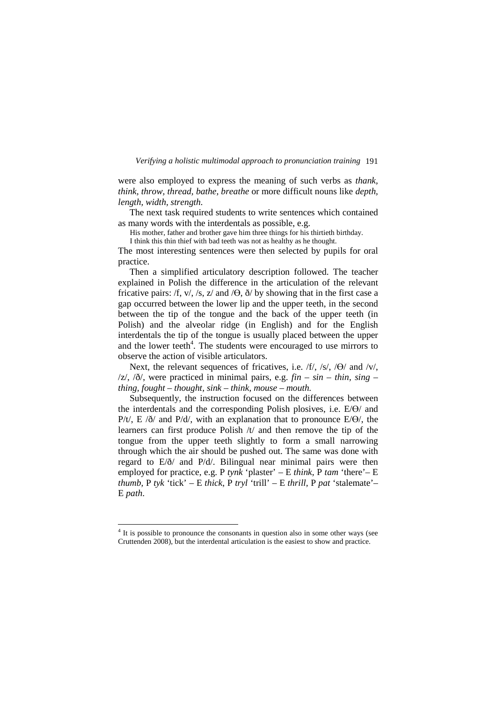were also employed to express the meaning of such verbs as *thank, think, throw, thread, bathe, breathe* or more difficult nouns like *depth, length, width, strength.* 

The next task required students to write sentences which contained as many words with the interdentals as possible, e.g.

His mother, father and brother gave him three things for his thirtieth birthday.

I think this thin thief with bad teeth was not as healthy as he thought.

The most interesting sentences were then selected by pupils for oral practice.

 Then a simplified articulatory description followed. The teacher explained in Polish the difference in the articulation of the relevant fricative pairs: /f, v/, /s, z/ and / $\Theta$ ,  $\eth$ / by showing that in the first case a gap occurred between the lower lip and the upper teeth, in the second between the tip of the tongue and the back of the upper teeth (in Polish) and the alveolar ridge (in English) and for the English interdentals the tip of the tongue is usually placed between the upper and the lower teeth<sup>4</sup>. The students were encouraged to use mirrors to observe the action of visible articulators.

Next, the relevant sequences of fricatives, i.e. /f/, /s/, / $\Theta$ / and /v/,  $|z|$ ,  $|\delta|$ , were practiced in minimal pairs, e.g.  $fin - sin - thin$ ,  $sing$ *thing, fought – thought, sink – think, mouse – mouth.* 

 Subsequently, the instruction focused on the differences between the interdentals and the corresponding Polish plosives, i.e.  $E/\Theta$  and P/t/, E  $\partial$  and P/d/, with an explanation that to pronounce E/ $\Theta$ /, the learners can first produce Polish /t/ and then remove the tip of the tongue from the upper teeth slightly to form a small narrowing through which the air should be pushed out. The same was done with regard to E/ð/ and P/d/. Bilingual near minimal pairs were then employed for practice, e.g. P *tynk* 'plaster' *–* E *think,* P *tam* 'there'– E *thumb,* P *tyk* 'tick' *–* E *thick*, P *tryl* 'trill' *–* E *thrill,* P *pat* 'stalemate'*–*  E *path*.

<u>.</u>

<sup>&</sup>lt;sup>4</sup> It is possible to pronounce the consonants in question also in some other ways (see Cruttenden 2008), but the interdental articulation is the easiest to show and practice.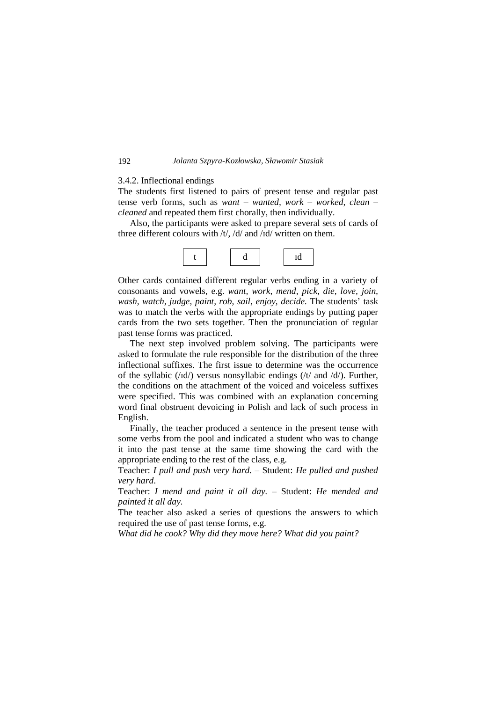## 3.4.2. Inflectional endings

The students first listened to pairs of present tense and regular past tense verb forms, such as *want – wanted, work – worked, clean – cleaned* and repeated them first chorally, then individually.

 Also, the participants were asked to prepare several sets of cards of three different colours with /t/, /d/ and /ɪd/ written on them.



Other cards contained different regular verbs ending in a variety of consonants and vowels, e.g. *want, work, mend, pick, die, love, join, wash, watch, judge, paint, rob, sail, enjoy, decide.* The students' task was to match the verbs with the appropriate endings by putting paper cards from the two sets together. Then the pronunciation of regular past tense forms was practiced.

 The next step involved problem solving. The participants were asked to formulate the rule responsible for the distribution of the three inflectional suffixes. The first issue to determine was the occurrence of the syllabic  $(\overline{d})$  versus nonsyllabic endings  $(\overline{t})$  and  $\overline{d}$ ). Further, the conditions on the attachment of the voiced and voiceless suffixes were specified. This was combined with an explanation concerning word final obstruent devoicing in Polish and lack of such process in English.

 Finally, the teacher produced a sentence in the present tense with some verbs from the pool and indicated a student who was to change it into the past tense at the same time showing the card with the appropriate ending to the rest of the class, e.g.

Teacher: *I pull and push very hard. –* Student: *He pulled and pushed very hard*.

Teacher: *I mend and paint it all day. –* Student: *He mended and painted it all day.* 

The teacher also asked a series of questions the answers to which required the use of past tense forms, e.g.

*What did he cook? Why did they move here? What did you paint?*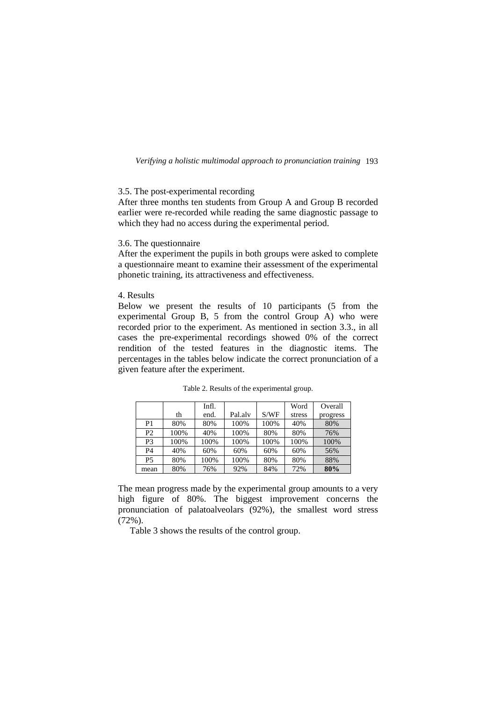## 3.5. The post-experimental recording

After three months ten students from Group A and Group B recorded earlier were re-recorded while reading the same diagnostic passage to which they had no access during the experimental period.

# 3.6. The questionnaire

After the experiment the pupils in both groups were asked to complete a questionnaire meant to examine their assessment of the experimental phonetic training, its attractiveness and effectiveness.

## 4. Results

Below we present the results of 10 participants (5 from the experimental Group B, 5 from the control Group A) who were recorded prior to the experiment. As mentioned in section 3.3., in all cases the pre-experimental recordings showed 0% of the correct rendition of the tested features in the diagnostic items. The percentages in the tables below indicate the correct pronunciation of a given feature after the experiment.

|                |      | Infl. |         |      | Word   | Overall  |
|----------------|------|-------|---------|------|--------|----------|
|                | th   | end.  | Pal.alv | S/WF | stress | progress |
| P <sub>1</sub> | 80%  | 80%   | 100%    | 100% | 40%    | 80%      |
| P <sub>2</sub> | 100% | 40%   | 100%    | 80%  | 80%    | 76%      |
| P3             | 100% | 100%  | 100%    | 100% | 100%   | 100%     |
| P <sub>4</sub> | 40%  | 60%   | 60%     | 60%  | 60%    | 56%      |
| <b>P5</b>      | 80%  | 100%  | 100%    | 80%  | 80%    | 88%      |
| mean           | 80%  | 76%   | 92%     | 84%  | 72%    | 80%      |

Table 2. Results of the experimental group.

The mean progress made by the experimental group amounts to a very high figure of 80%. The biggest improvement concerns the pronunciation of palatoalveolars (92%), the smallest word stress (72%).

Table 3 shows the results of the control group.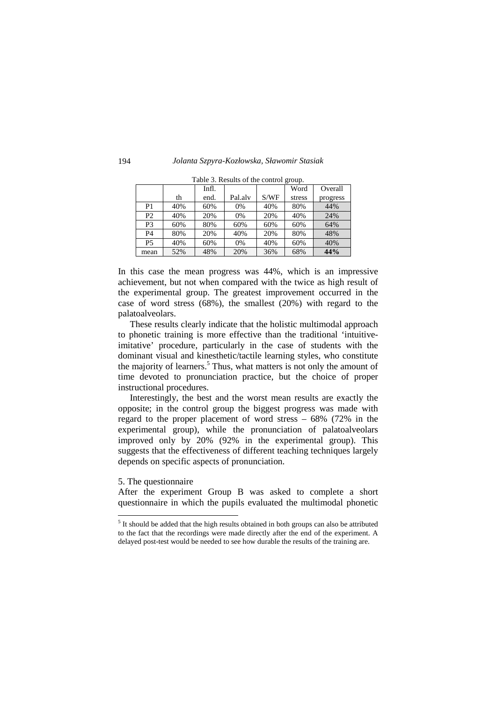|                | raone b. Results of the control group. |       |         |      |        |          |
|----------------|----------------------------------------|-------|---------|------|--------|----------|
|                |                                        | Infl. |         |      | Word   | Overall  |
|                | th                                     | end.  | Pal.alv | S/WF | stress | progress |
| P <sub>1</sub> | 40%                                    | 60%   | 0%      | 40%  | 80%    | 44%      |
| P <sub>2</sub> | 40%                                    | 20%   | 0%      | 20%  | 40%    | 24%      |
| P3             | 60%                                    | 80%   | 60%     | 60%  | 60%    | 64%      |
| P <sub>4</sub> | 80%                                    | 20%   | 40%     | 20%  | 80%    | 48%      |
| <b>P5</b>      | 40%                                    | 60%   | 0%      | 40%  | 60%    | 40%      |
| mean           | 52%                                    | 48%   | 20%     | 36%  | 68%    | 44%      |

Table 3. Results of the control group.

In this case the mean progress was 44%, which is an impressive achievement, but not when compared with the twice as high result of the experimental group. The greatest improvement occurred in the case of word stress (68%), the smallest (20%) with regard to the palatoalveolars.

These results clearly indicate that the holistic multimodal approach to phonetic training is more effective than the traditional 'intuitiveimitative' procedure, particularly in the case of students with the dominant visual and kinesthetic/tactile learning styles, who constitute the majority of learners.<sup>5</sup> Thus, what matters is not only the amount of time devoted to pronunciation practice, but the choice of proper instructional procedures.

Interestingly, the best and the worst mean results are exactly the opposite; in the control group the biggest progress was made with regard to the proper placement of word stress – 68% (72% in the experimental group), while the pronunciation of palatoalveolars improved only by 20% (92% in the experimental group). This suggests that the effectiveness of different teaching techniques largely depends on specific aspects of pronunciation.

### 5. The questionnaire

-

After the experiment Group B was asked to complete a short questionnaire in which the pupils evaluated the multimodal phonetic

 $<sup>5</sup>$  It should be added that the high results obtained in both groups can also be attributed</sup> to the fact that the recordings were made directly after the end of the experiment. A delayed post-test would be needed to see how durable the results of the training are.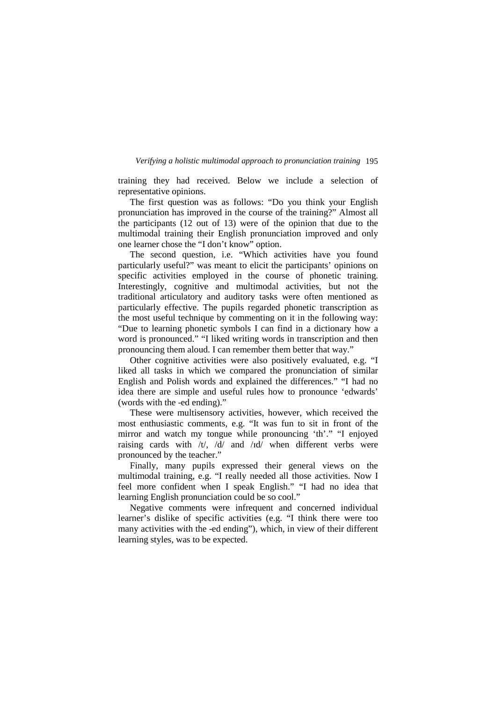training they had received. Below we include a selection of representative opinions.

 The first question was as follows: "Do you think your English pronunciation has improved in the course of the training?" Almost all the participants (12 out of 13) were of the opinion that due to the multimodal training their English pronunciation improved and only one learner chose the "I don't know" option.

 The second question, i.e. "Which activities have you found particularly useful?" was meant to elicit the participants' opinions on specific activities employed in the course of phonetic training. Interestingly, cognitive and multimodal activities, but not the traditional articulatory and auditory tasks were often mentioned as particularly effective. The pupils regarded phonetic transcription as the most useful technique by commenting on it in the following way: "Due to learning phonetic symbols I can find in a dictionary how a word is pronounced." "I liked writing words in transcription and then pronouncing them aloud. I can remember them better that way."

 Other cognitive activities were also positively evaluated, e.g. "I liked all tasks in which we compared the pronunciation of similar English and Polish words and explained the differences." "I had no idea there are simple and useful rules how to pronounce 'edwards' (words with the -ed ending)."

 These were multisensory activities, however, which received the most enthusiastic comments, e.g. "It was fun to sit in front of the mirror and watch my tongue while pronouncing 'th'." "I enjoyed raising cards with  $/t/$ ,  $/d/$  and  $/td/$  when different verbs were pronounced by the teacher."

 Finally, many pupils expressed their general views on the multimodal training, e.g. "I really needed all those activities. Now I feel more confident when I speak English." "I had no idea that learning English pronunciation could be so cool."

 Negative comments were infrequent and concerned individual learner's dislike of specific activities (e.g. "I think there were too many activities with the -ed ending"), which, in view of their different learning styles, was to be expected.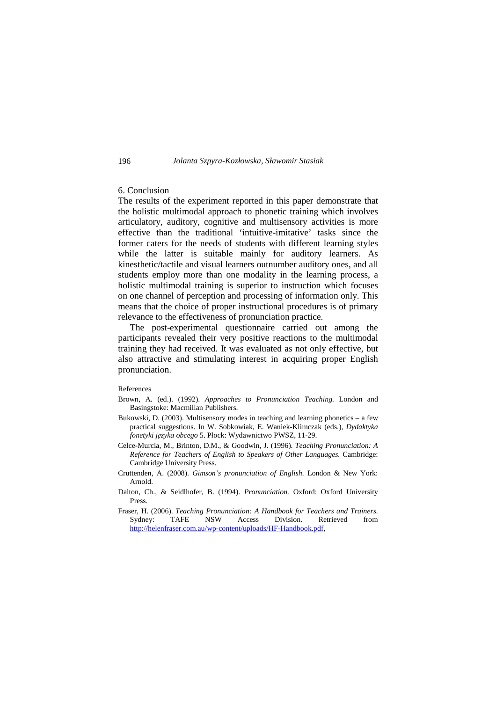# 6. Conclusion

The results of the experiment reported in this paper demonstrate that the holistic multimodal approach to phonetic training which involves articulatory, auditory, cognitive and multisensory activities is more effective than the traditional 'intuitive-imitative' tasks since the former caters for the needs of students with different learning styles while the latter is suitable mainly for auditory learners. As kinesthetic/tactile and visual learners outnumber auditory ones, and all students employ more than one modality in the learning process, a holistic multimodal training is superior to instruction which focuses on one channel of perception and processing of information only. This means that the choice of proper instructional procedures is of primary relevance to the effectiveness of pronunciation practice.

 The post-experimental questionnaire carried out among the participants revealed their very positive reactions to the multimodal training they had received. It was evaluated as not only effective, but also attractive and stimulating interest in acquiring proper English pronunciation.

## References

- Brown, A. (ed.). (1992). *Approaches to Pronunciation Teaching.* London and Basingstoke: Macmillan Publishers.
- Bukowski, D. (2003). Multisensory modes in teaching and learning phonetics a few practical suggestions. In W. Sobkowiak, E. Waniek-Klimczak (eds.), *Dydaktyka fonetyki języka obcego* 5. Płock: Wydawnictwo PWSZ, 11-29.
- Celce-Murcia, M., Brinton, D.M., & Goodwin, J. (1996). *Teaching Pronunciation: A Reference for Teachers of English to Speakers of Other Languages.* Cambridge: Cambridge University Press.
- Cruttenden, A. (2008). *Gimson's pronunciation of English.* London & New York: Arnold.
- Dalton, Ch., & Seidlhofer, B. (1994). *Pronunciation.* Oxford: Oxford University Press.
- Fraser, H. (2006). *Teaching Pronunciation: A Handbook for Teachers and Trainers.*  Sydney: TAFE NSW Access Division. Retrieved from http://helenfraser.com.au/wp-content/uploads/HF-Handbook.pdf,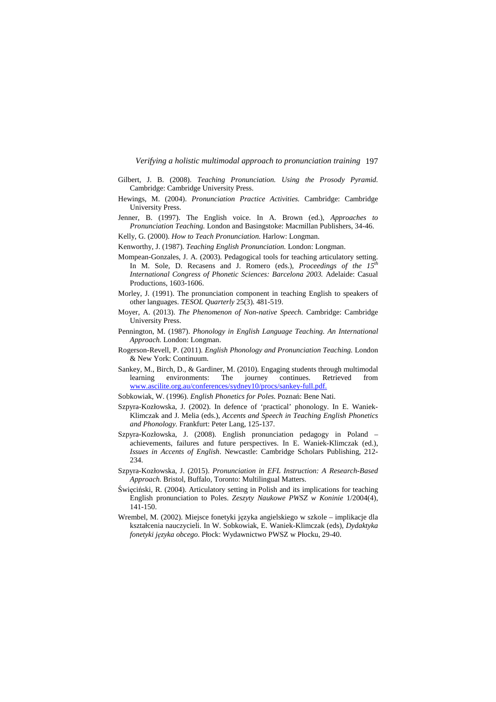- Gilbert, J. B. (2008). *Teaching Pronunciation. Using the Prosody Pyramid.*  Cambridge: Cambridge University Press.
- Hewings, M. (2004). *Pronunciation Practice Activities.* Cambridge: Cambridge University Press.
- Jenner, B. (1997). The English voice. In A. Brown (ed.), *Approaches to Pronunciation Teaching.* London and Basingstoke: Macmillan Publishers, 34-46.
- Kelly, G. (2000). *How to Teach Pronunciation.* Harlow: Longman.
- Kenworthy, J. (1987). *Teaching English Pronunciation.* London: Longman.
- Mompean-Gonzales, J. A. (2003). Pedagogical tools for teaching articulatory setting. In M. Sole, D. Recasens and J. Romero (eds.), *Proceedings of the 15th International Congress of Phonetic Sciences: Barcelona 2003.* Adelaide: Casual Productions, 1603-1606.
- Morley, J. (1991). The pronunciation component in teaching English to speakers of other languages. *TESOL Quarterly* 25(3). 481-519.
- Moyer, A. (2013). *The Phenomenon of Non-native Speech.* Cambridge: Cambridge University Press.
- Pennington, M. (1987). *Phonology in English Language Teaching. An International Approach.* London: Longman.
- Rogerson-Revell, P. (2011). *English Phonology and Pronunciation Teaching.* London & New York: Continuum.
- Sankey, M., Birch, D., & Gardiner, M. (2010). Engaging students through multimodal learning environments: The journey continues. Retrieved from www.ascilite.org.au/conferences/sydney10/procs/sankey-full.pdf.
- Sobkowiak, W. (1996). *English Phonetics for Poles.* Poznań: Bene Nati.
- Szpyra-Kozłowska, J. (2002). In defence of 'practical' phonology. In E. Waniek-Klimczak and J. Melia (eds.), *Accents and Speech in Teaching English Phonetics and Phonology.* Frankfurt: Peter Lang, 125-137.
- Szpyra-Kozłowska, J. (2008). English pronunciation pedagogy in Poland achievements, failures and future perspectives. In E. Waniek-Klimczak (ed.), *Issues in Accents of English*. Newcastle: Cambridge Scholars Publishing, 212- 234.
- Szpyra-Kozłowska, J. (2015). *Pronunciation in EFL Instruction: A Research-Based Approach.* Bristol, Buffalo, Toronto: Multilingual Matters.
- Święciński, R. (2004). Articulatory setting in Polish and its implications for teaching English pronunciation to Poles. *Zeszyty Naukowe PWSZ w Koninie* 1/2004(4), 141-150.
- Wrembel, M. (2002). Miejsce fonetyki języka angielskiego w szkole implikacje dla kształcenia nauczycieli. In W. Sobkowiak, E. Waniek-Klimczak (eds), *Dydaktyka fonetyki języka obcego.* Płock: Wydawnictwo PWSZ w Płocku, 29-40.